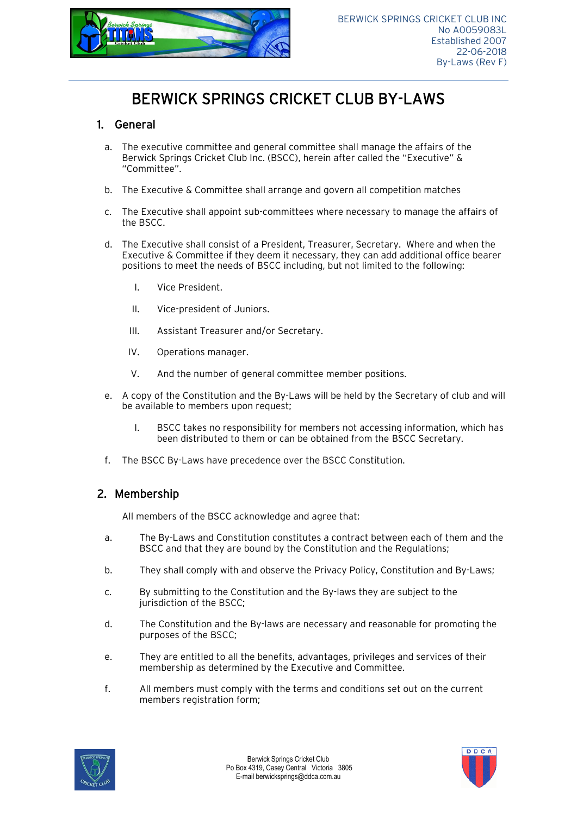

# BERWICK SPRINGS CRICKET CLUB BY-LAWS

#### 1. General

- a. The executive committee and general committee shall manage the affairs of the Berwick Springs Cricket Club Inc. (BSCC), herein after called the "Executive" & "Committee".
- b. The Executive & Committee shall arrange and govern all competition matches
- c. The Executive shall appoint sub-committees where necessary to manage the affairs of the BSCC.
- d. The Executive shall consist of a President, Treasurer, Secretary. Where and when the Executive & Committee if they deem it necessary, they can add additional office bearer positions to meet the needs of BSCC including, but not limited to the following:
	- I. Vice President.
	- II. Vice-president of Juniors.
	- III. Assistant Treasurer and/or Secretary.
	- IV. Operations manager.
	- V. And the number of general committee member positions.
- e. A copy of the Constitution and the By-Laws will be held by the Secretary of club and will be available to members upon request;
	- I. BSCC takes no responsibility for members not accessing information, which has been distributed to them or can be obtained from the BSCC Secretary.
- f. The BSCC By-Laws have precedence over the BSCC Constitution.

### 2. Membership

All members of the BSCC acknowledge and agree that:

- a. The By-Laws and Constitution constitutes a contract between each of them and the BSCC and that they are bound by the Constitution and the Regulations;
- b. They shall comply with and observe the Privacy Policy, Constitution and By-Laws;
- c. By submitting to the Constitution and the By-laws they are subject to the jurisdiction of the BSCC;
- d. The Constitution and the By-laws are necessary and reasonable for promoting the purposes of the BSCC;
- e. They are entitled to all the benefits, advantages, privileges and services of their membership as determined by the Executive and Committee.
- f. All members must comply with the terms and conditions set out on the current members registration form;



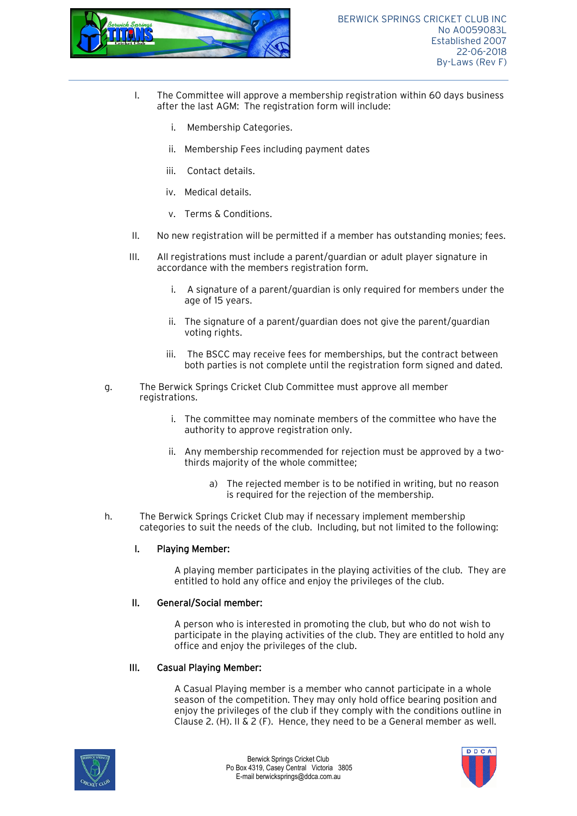

- I. The Committee will approve a membership registration within 60 days business after the last AGM: The registration form will include:
	- i. Membership Categories.
	- ii. Membership Fees including payment dates
	- iii. Contact details.
	- iv. Medical details.
	- v. Terms & Conditions.
- II. No new registration will be permitted if a member has outstanding monies; fees.
- III. All registrations must include a parent/guardian or adult player signature in accordance with the members registration form.
	- i. A signature of a parent/guardian is only required for members under the age of 15 years.
	- ii. The signature of a parent/guardian does not give the parent/guardian voting rights.
	- iii. The BSCC may receive fees for memberships, but the contract between both parties is not complete until the registration form signed and dated.
- g. The Berwick Springs Cricket Club Committee must approve all member registrations.
	- i. The committee may nominate members of the committee who have the authority to approve registration only.
	- ii. Any membership recommended for rejection must be approved by a twothirds majority of the whole committee;
		- a) The rejected member is to be notified in writing, but no reason is required for the rejection of the membership.
- h. The Berwick Springs Cricket Club may if necessary implement membership categories to suit the needs of the club. Including, but not limited to the following:

#### I. Playing Member:

A playing member participates in the playing activities of the club. They are entitled to hold any office and enjoy the privileges of the club.

#### II. General/Social member:

A person who is interested in promoting the club, but who do not wish to participate in the playing activities of the club. They are entitled to hold any office and enjoy the privileges of the club.

#### III. Casual Playing Member:

A Casual Playing member is a member who cannot participate in a whole season of the competition. They may only hold office bearing position and enjoy the privileges of the club if they comply with the conditions outline in Clause 2. (H). II & 2 (F). Hence, they need to be a General member as well.



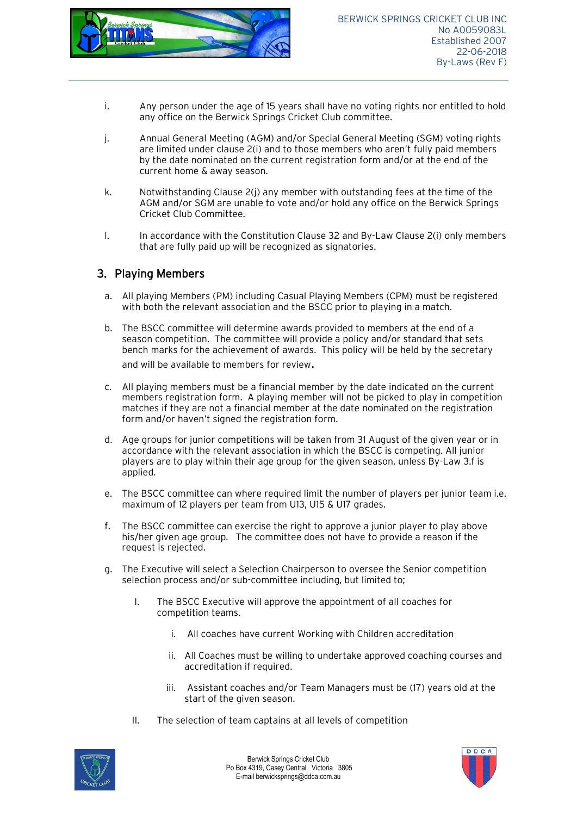

- i. Any person under the age of 15 years shall have no voting rights nor entitled to hold any office on the Berwick Springs Cricket Club committee.
- j. Annual General Meeting (AGM) and/or Special General Meeting (SGM) voting rights are limited under clause 2(i) and to those members who aren't fully paid members by the date nominated on the current registration form and/or at the end of the current home & away season.
- k. Notwithstanding Clause 2(j) any member with outstanding fees at the time of the AGM and/or SGM are unable to vote and/or hold any office on the Berwick Springs Cricket Club Committee.
- l. In accordance with the Constitution Clause 32 and By-Law Clause 2(i) only members that are fully paid up will be recognized as signatories.

#### 3. Playing Members

- a. All playing Members (PM) including Casual Playing Members (CPM) must be registered with both the relevant association and the BSCC prior to playing in a match.
- b. The BSCC committee will determine awards provided to members at the end of a season competition. The committee will provide a policy and/or standard that sets bench marks for the achievement of awards. This policy will be held by the secretary and will be available to members for review.
- c. All playing members must be a financial member by the date indicated on the current members registration form. A playing member will not be picked to play in competition matches if they are not a financial member at the date nominated on the registration form and/or haven't signed the registration form.
- d. Age groups for junior competitions will be taken from 31 August of the given year or in accordance with the relevant association in which the BSCC is competing. All junior players are to play within their age group for the given season, unless By-Law 3.f is applied.
- e. The BSCC committee can where required limit the number of players per junior team i.e. maximum of 12 players per team from U13, U15 & U17 grades.
- f. The BSCC committee can exercise the right to approve a junior player to play above his/her given age group. The committee does not have to provide a reason if the request is rejected.
- g. The Executive will select a Selection Chairperson to oversee the Senior competition selection process and/or sub-committee including, but limited to;
	- I. The BSCC Executive will approve the appointment of all coaches for competition teams.
		- i. All coaches have current Working with Children accreditation
		- ii. All Coaches must be willing to undertake approved coaching courses and accreditation if required.
		- iii. Assistant coaches and/or Team Managers must be (17) years old at the start of the given season.
	- II. The selection of team captains at all levels of competition



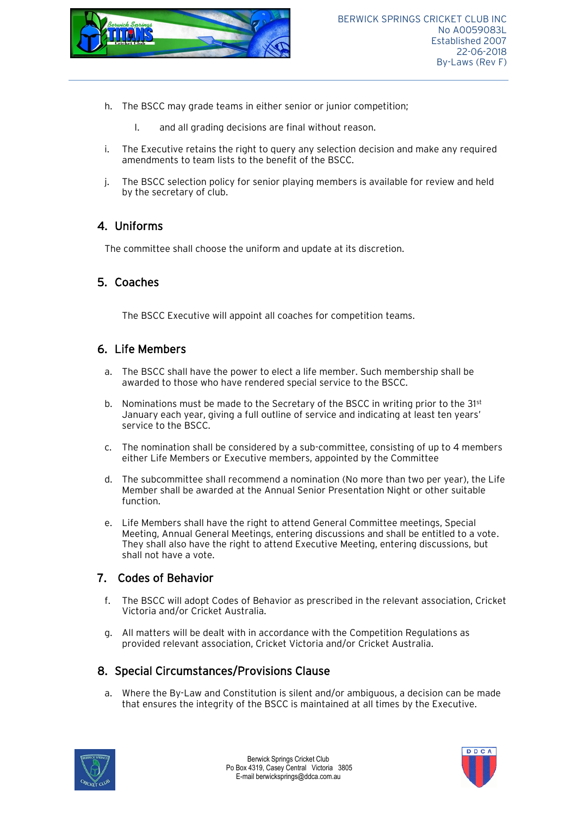

- h. The BSCC may grade teams in either senior or junior competition;
	- I. and all grading decisions are final without reason.
- i. The Executive retains the right to query any selection decision and make any required amendments to team lists to the benefit of the BSCC.
- j. The BSCC selection policy for senior playing members is available for review and held by the secretary of club.

#### 4. Uniforms

The committee shall choose the uniform and update at its discretion.

#### 5. Coaches

The BSCC Executive will appoint all coaches for competition teams.

#### 6. Life Members

- a. The BSCC shall have the power to elect a life member. Such membership shall be awarded to those who have rendered special service to the BSCC.
- b. Nominations must be made to the Secretary of the BSCC in writing prior to the  $31<sup>st</sup>$ January each year, giving a full outline of service and indicating at least ten years' service to the BSCC.
- c. The nomination shall be considered by a sub-committee, consisting of up to 4 members either Life Members or Executive members, appointed by the Committee
- d. The subcommittee shall recommend a nomination (No more than two per year), the Life Member shall be awarded at the Annual Senior Presentation Night or other suitable function.
- e. Life Members shall have the right to attend General Committee meetings, Special Meeting, Annual General Meetings, entering discussions and shall be entitled to a vote. They shall also have the right to attend Executive Meeting, entering discussions, but shall not have a vote.

#### 7. Codes of Behavior

- f. The BSCC will adopt Codes of Behavior as prescribed in the relevant association, Cricket Victoria and/or Cricket Australia.
- g. All matters will be dealt with in accordance with the Competition Regulations as provided relevant association, Cricket Victoria and/or Cricket Australia.

### 8. Special Circumstances/Provisions Clause

a. Where the By-Law and Constitution is silent and/or ambiguous, a decision can be made that ensures the integrity of the BSCC is maintained at all times by the Executive.



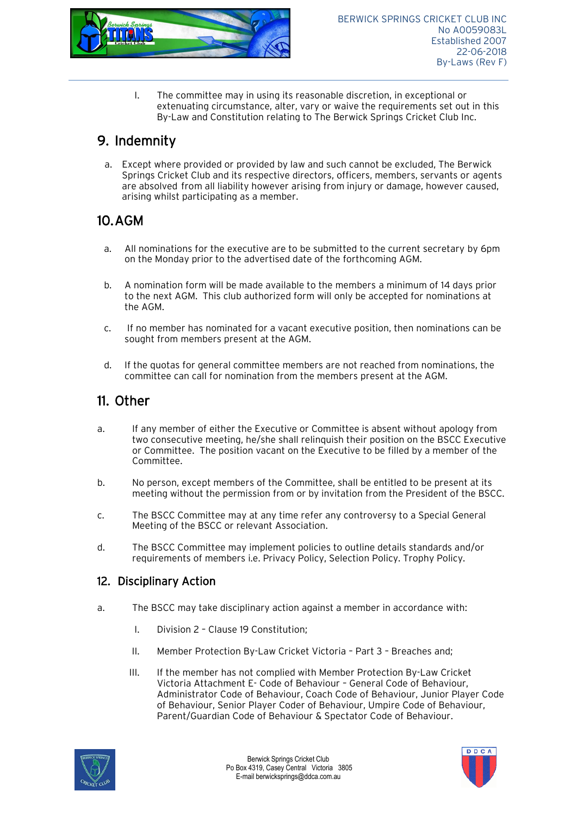

I. The committee may in using its reasonable discretion, in exceptional or extenuating circumstance, alter, vary or waive the requirements set out in this By-Law and Constitution relating to The Berwick Springs Cricket Club Inc.

## 9. Indemnity

a. Except where provided or provided by law and such cannot be excluded, The Berwick Springs Cricket Club and its respective directors, officers, members, servants or agents are absolved from all liability however arising from injury or damage, however caused, arising whilst participating as a member.

## 10.AGM

- a. All nominations for the executive are to be submitted to the current secretary by 6pm on the Monday prior to the advertised date of the forthcoming AGM.
- b. A nomination form will be made available to the members a minimum of 14 days prior to the next AGM. This club authorized form will only be accepted for nominations at the AGM.
- c. If no member has nominated for a vacant executive position, then nominations can be sought from members present at the AGM.
- d. If the quotas for general committee members are not reached from nominations, the committee can call for nomination from the members present at the AGM.

## 11. Other

- a. If any member of either the Executive or Committee is absent without apology from two consecutive meeting, he/she shall relinquish their position on the BSCC Executive or Committee. The position vacant on the Executive to be filled by a member of the Committee.
- b. No person, except members of the Committee, shall be entitled to be present at its meeting without the permission from or by invitation from the President of the BSCC.
- c. The BSCC Committee may at any time refer any controversy to a Special General Meeting of the BSCC or relevant Association.
- d. The BSCC Committee may implement policies to outline details standards and/or requirements of members i.e. Privacy Policy, Selection Policy. Trophy Policy.

### 12. Disciplinary Action

- a. The BSCC may take disciplinary action against a member in accordance with:
	- I. Division 2 Clause 19 Constitution;
	- II. Member Protection By-Law Cricket Victoria Part 3 Breaches and;
	- III. If the member has not complied with Member Protection By-Law Cricket Victoria Attachment E- Code of Behaviour – General Code of Behaviour, Administrator Code of Behaviour, Coach Code of Behaviour, Junior Player Code of Behaviour, Senior Player Coder of Behaviour, Umpire Code of Behaviour, Parent/Guardian Code of Behaviour & Spectator Code of Behaviour.